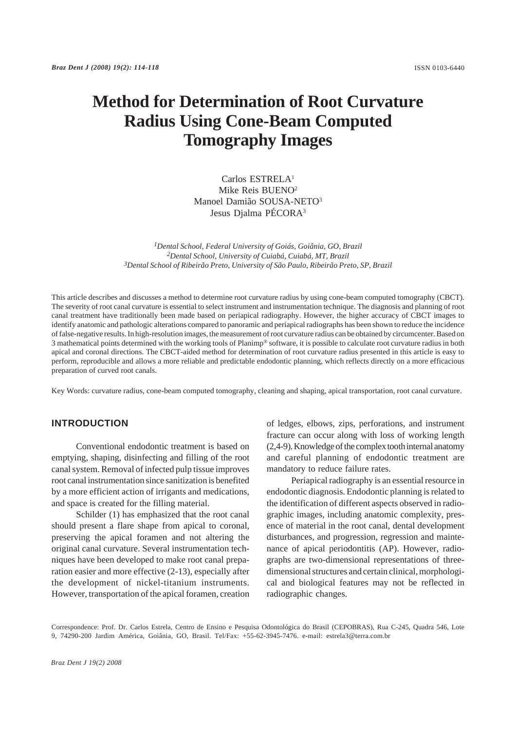# **Method for Determination of Root Curvature Radius Using Cone-Beam Computed Tomography Images**

Carlos ESTRELA1 Mike Reis BUENO2 Manoel Damião SOUSA-NETO3 Jesus Djalma PÉCORA3

*1Dental School, Federal University of Goiás, Goiânia, GO, Brazil 2Dental School, University of Cuiabá, Cuiabá, MT, Brazil 3Dental School of Ribeirão Preto, University of São Paulo, Ribeirão Preto, SP, Brazil*

This article describes and discusses a method to determine root curvature radius by using cone-beam computed tomography (CBCT). The severity of root canal curvature is essential to select instrument and instrumentation technique. The diagnosis and planning of root canal treatment have traditionally been made based on periapical radiography. However, the higher accuracy of CBCT images to identify anatomic and pathologic alterations compared to panoramic and periapical radiographs has been shown to reduce the incidence of false-negative results. In high-resolution images, the measurement of root curvature radius can be obtained by circumcenter. Based on 3 mathematical points determined with the working tools of Planimp® software, it is possible to calculate root curvature radius in both apical and coronal directions. The CBCT-aided method for determination of root curvature radius presented in this article is easy to perform, reproducible and allows a more reliable and predictable endodontic planning, which reflects directly on a more efficacious preparation of curved root canals.

Key Words: curvature radius, cone-beam computed tomography, cleaning and shaping, apical transportation, root canal curvature.

## **INTRODUCTION**

Conventional endodontic treatment is based on emptying, shaping, disinfecting and filling of the root canal system. Removal of infected pulp tissue improves root canal instrumentation since sanitization is benefited by a more efficient action of irrigants and medications, and space is created for the filling material.

Schilder (1) has emphasized that the root canal should present a flare shape from apical to coronal, preserving the apical foramen and not altering the original canal curvature. Several instrumentation techniques have been developed to make root canal preparation easier and more effective (2-13), especially after the development of nickel-titanium instruments. However, transportation of the apical foramen, creation

of ledges, elbows, zips, perforations, and instrument fracture can occur along with loss of working length (2,4-9). Knowledge of the complex tooth internal anatomy and careful planning of endodontic treatment are mandatory to reduce failure rates.

Periapical radiography is an essential resource in endodontic diagnosis. Endodontic planning is related to the identification of different aspects observed in radiographic images, including anatomic complexity, presence of material in the root canal, dental development disturbances, and progression, regression and maintenance of apical periodontitis (AP). However, radiographs are two-dimensional representations of threedimensional structures and certain clinical, morphological and biological features may not be reflected in radiographic changes.

Correspondence: Prof. Dr. Carlos Estrela, Centro de Ensino e Pesquisa Odontológica do Brasil (CEPOBRAS), Rua C-245, Quadra 546, Lote 9, 74290-200 Jardim América, Goiânia, GO, Brasil. Tel/Fax: +55-62-3945-7476. e-mail: estrela3@terra.com.br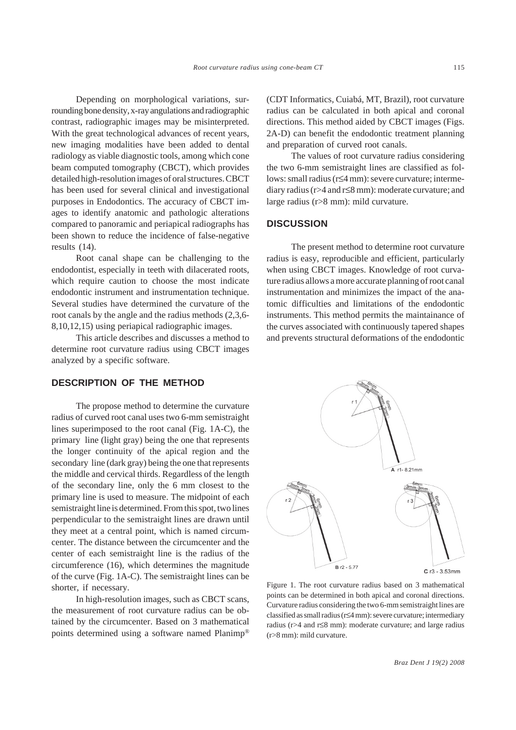Depending on morphological variations, surrounding bone density, x-ray angulations and radiographic contrast, radiographic images may be misinterpreted. With the great technological advances of recent years, new imaging modalities have been added to dental radiology as viable diagnostic tools, among which cone beam computed tomography (CBCT), which provides detailed high-resolution images of oral structures. CBCT has been used for several clinical and investigational purposes in Endodontics. The accuracy of CBCT images to identify anatomic and pathologic alterations compared to panoramic and periapical radiographs has been shown to reduce the incidence of false-negative results (14).

Root canal shape can be challenging to the endodontist, especially in teeth with dilacerated roots, which require caution to choose the most indicate endodontic instrument and instrumentation technique. Several studies have determined the curvature of the root canals by the angle and the radius methods (2,3,6- 8,10,12,15) using periapical radiographic images.

This article describes and discusses a method to determine root curvature radius using CBCT images analyzed by a specific software.

### **DESCRIPTION OF THE METHOD**

The propose method to determine the curvature radius of curved root canal uses two 6-mm semistraight lines superimposed to the root canal (Fig. 1A-C), the primary line (light gray) being the one that represents the longer continuity of the apical region and the secondary line (dark gray) being the one that represents the middle and cervical thirds. Regardless of the length of the secondary line, only the 6 mm closest to the primary line is used to measure. The midpoint of each semistraight line is determined. From this spot, two lines perpendicular to the semistraight lines are drawn until they meet at a central point, which is named circumcenter. The distance between the circumcenter and the center of each semistraight line is the radius of the circumference (16), which determines the magnitude of the curve (Fig. 1A-C). The semistraight lines can be shorter, if necessary.

In high-resolution images, such as CBCT scans, the measurement of root curvature radius can be obtained by the circumcenter. Based on 3 mathematical points determined using a software named Planimp® (CDT Informatics, Cuiabá, MT, Brazil), root curvature radius can be calculated in both apical and coronal directions. This method aided by CBCT images (Figs. 2A-D) can benefit the endodontic treatment planning and preparation of curved root canals.

The values of root curvature radius considering the two 6-mm semistraight lines are classified as follows: small radius (r≤4 mm): severe curvature; intermediary radius (r>4 and r≤8 mm): moderate curvature; and large radius (r>8 mm): mild curvature.

#### **DISCUSSION**

The present method to determine root curvature radius is easy, reproducible and efficient, particularly when using CBCT images. Knowledge of root curvature radius allows a more accurate planning of root canal instrumentation and minimizes the impact of the anatomic difficulties and limitations of the endodontic instruments. This method permits the maintainance of the curves associated with continuously tapered shapes and prevents structural deformations of the endodontic



Figure 1. The root curvature radius based on 3 mathematical points can be determined in both apical and coronal directions. Curvature radius considering the two 6-mm semistraight lines are classified as small radius (r≤4 mm): severe curvature; intermediary radius (r>4 and r≤8 mm): moderate curvature; and large radius (r>8 mm): mild curvature.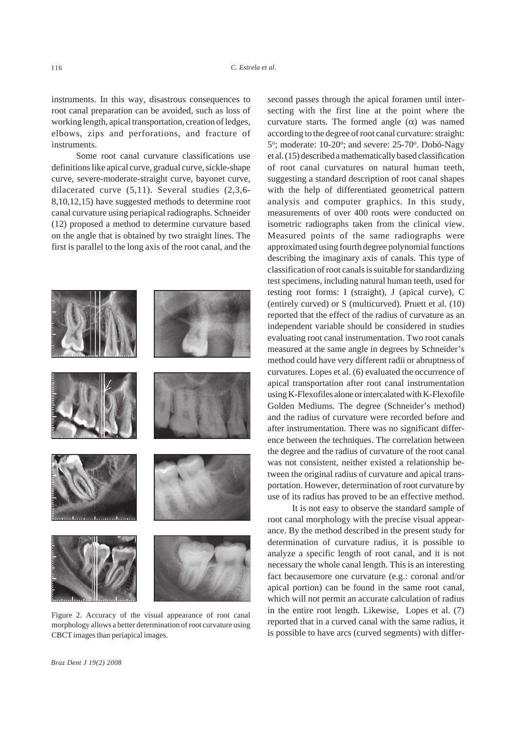instruments. In this way, disastrous consequences to root canal preparation can be avoided, such as loss of working length, apical transportation, creation of ledges, elbows, zips and perforations, and fracture of **instruments** 

Some root canal curvature classifications use definitions like apical curve, gradual curve, sickle-shape curve, severe-moderate-straight curve, bayonet curve, dilacerated curve (5,11). Several studies (2,3,6- 8,10,12,15) have suggested methods to determine root canal curvature using periapical radiographs. Schneider (12) proposed a method to determine curvature based on the angle that is obtained by two straight lines. The first is parallel to the long axis of the root canal, and the



Figure 2. Accuracy of the visual appearance of root canal morphology allows a better determination of root curvature using CBCT images than periapical images.

second passes through the apical foramen until intersecting with the first line at the point where the curvature starts. The formed angle  $(\alpha)$  was named according to the degree of root canal curvature: straight: 5°; moderate: 10-20°; and severe: 25-70°. Dobó-Nagy et al. (15) described a mathematically based classification of root canal curvatures on natural human teeth, suggesting a standard description of root canal shapes with the help of differentiated geometrical pattern analysis and computer graphics. In this study, measurements of over 400 roots were conducted on isometric radiographs taken from the clinical view. Measured points of the same radiographs were approximated using fourth degree polynomial functions describing the imaginary axis of canals. This type of classification of root canals is suitable for standardizing test specimens, including natural human teeth, used for testing root forms: I (straight), J (apical curve), C (entirely curved) or S (multicurved). Pruett et al. (10) reported that the effect of the radius of curvature as an independent variable should be considered in studies evaluating root canal instrumentation. Two root canals measured at the same angle in degrees by Schneider's method could have very different radii or abruptness of curvatures. Lopes et al. (6) evaluated the occurrence of apical transportation after root canal instrumentation using K-Flexofiles alone or intercalated with K-Flexofile Golden Mediums. The degree (Schneider's method) and the radius of curvature were recorded before and after instrumentation. There was no significant difference between the techniques. The correlation between the degree and the radius of curvature of the root canal was not consistent, neither existed a relationship between the original radius of curvature and apical transportation. However, determination of root curvature by use of its radius has proved to be an effective method.

It is not easy to observe the standard sample of root canal morphology with the precise visual appearance. By the method described in the present study for determination of curvature radius, it is possible to analyze a specific length of root canal, and it is not necessary the whole canal length. This is an interesting fact becausemore one curvature (e.g.: coronal and/or apical portion) can be found in the same root canal, which will not permit an accurate calculation of radius in the entire root length. Likewise, Lopes et al. (7) reported that in a curved canal with the same radius, it is possible to have arcs (curved segments) with differ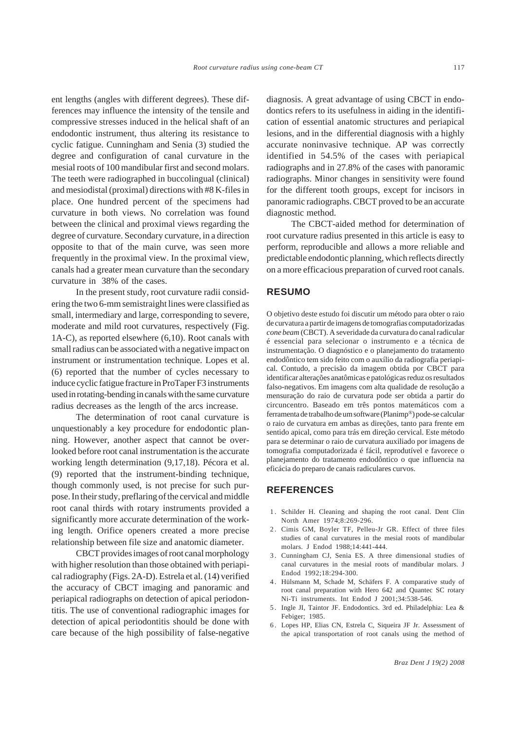ent lengths (angles with different degrees). These differences may influence the intensity of the tensile and compressive stresses induced in the helical shaft of an endodontic instrument, thus altering its resistance to cyclic fatigue. Cunningham and Senia (3) studied the degree and configuration of canal curvature in the mesial roots of 100 mandibular first and second molars. The teeth were radiographed in buccolingual (clinical) and mesiodistal (proximal) directions with #8 K-files in place. One hundred percent of the specimens had curvature in both views. No correlation was found between the clinical and proximal views regarding the degree of curvature. Secondary curvature, in a direction opposite to that of the main curve, was seen more frequently in the proximal view. In the proximal view, canals had a greater mean curvature than the secondary curvature in 38% of the cases.

In the present study, root curvature radii considering the two 6-mm semistraight lines were classified as small, intermediary and large, corresponding to severe, moderate and mild root curvatures, respectively (Fig. 1A-C), as reported elsewhere (6,10). Root canals with small radius can be associated with a negative impact on instrument or instrumentation technique. Lopes et al. (6) reported that the number of cycles necessary to induce cyclic fatigue fracture in ProTaper F3 instruments used in rotating-bending in canals with the same curvature radius decreases as the length of the arcs increase.

The determination of root canal curvature is unquestionably a key procedure for endodontic planning. However, another aspect that cannot be overlooked before root canal instrumentation is the accurate working length determination (9,17,18). Pécora et al. (9) reported that the instrument-binding technique, though commonly used, is not precise for such purpose. In their study, preflaring of the cervical and middle root canal thirds with rotary instruments provided a significantly more accurate determination of the working length. Orifice openers created a more precise relationship between file size and anatomic diameter.

CBCT provides images of root canal morphology with higher resolution than those obtained with periapical radiography (Figs. 2A-D). Estrela et al. (14) verified the accuracy of CBCT imaging and panoramic and periapical radiographs on detection of apical periodontitis. The use of conventional radiographic images for detection of apical periodontitis should be done with care because of the high possibility of false-negative

diagnosis. A great advantage of using CBCT in endodontics refers to its usefulness in aiding in the identification of essential anatomic structures and periapical lesions, and in the differential diagnosis with a highly accurate noninvasive technique. AP was correctly identified in 54.5% of the cases with periapical radiographs and in 27.8% of the cases with panoramic radiographs. Minor changes in sensitivity were found for the different tooth groups, except for incisors in panoramic radiographs. CBCT proved to be an accurate diagnostic method.

The CBCT-aided method for determination of root curvature radius presented in this article is easy to perform, reproducible and allows a more reliable and predictable endodontic planning, which reflects directly on a more efficacious preparation of curved root canals.

#### **RESUMO**

O objetivo deste estudo foi discutir um método para obter o raio de curvatura a partir de imagens de tomografias computadorizadas *cone beam* (CBCT). A severidade da curvatura do canal radicular é essencial para selecionar o instrumento e a técnica de instrumentação. O diagnóstico e o planejamento do tratamento endodôntico tem sido feito com o auxílio da radiografia periapical. Contudo, a precisão da imagem obtida por CBCT para identificar alterações anatômicas e patológicas reduz os resultados falso-negativos. Em imagens com alta qualidade de resolução a mensuração do raio de curvatura pode ser obtida a partir do circuncentro. Baseado em três pontos matemáticos com a ferramenta de trabalho de um software (Planimp®) pode-se calcular o raio de curvatura em ambas as direções, tanto para frente em sentido apical, como para trás em direção cervical. Este método para se determinar o raio de curvatura auxiliado por imagens de tomografia computadorizada é fácil, reprodutível e favorece o planejamento do tratamento endodôntico o que influencia na eficácia do preparo de canais radiculares curvos.

### **REFERENCES**

- 1 . Schilder H. Cleaning and shaping the root canal. Dent Clin North Amer 1974;8:269-296.
- 2 . Cimis GM, Boyler TF, Pelleu-Jr GR. Effect of three files studies of canal curvatures in the mesial roots of mandibular molars. J Endod 1988;14:441-444.
- 3 . Cunningham CJ, Senia ES. A three dimensional studies of canal curvatures in the mesial roots of mandibular molars. J Endod 1992;18:294-300.
- 4 . Hülsmann M, Schade M, Schäfers F. A comparative study of root canal preparation with Hero 642 and Quantec SC rotary Ni-Ti instruments. Int Endod J 2001;34:538-546.
- 5 . Ingle JI, Taintor JF. Endodontics. 3rd ed. Philadelphia: Lea & Febiger; 1985.
- 6 . Lopes HP, Elias CN, Estrela C, Siqueira JF Jr. Assessment of the apical transportation of root canals using the method of